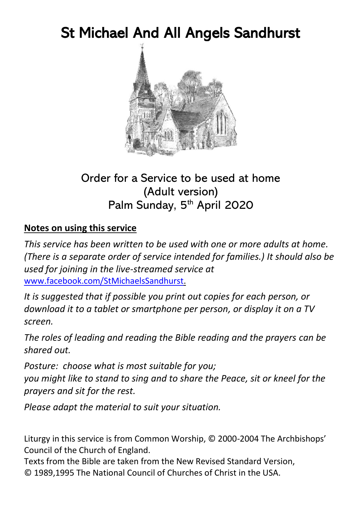# St Michael And All Angels Sandhurst



#### Order for a Service to be used at home (Adult version) Palm Sunday, 5<sup>th</sup> April 2020

#### **Notes on using this service**

*This service has been written to be used with one or more adults at home. (There is a separate order of service intended for families.) It should also be used for joining in the live-streamed service at*  [www.facebook.com/StMichaelsSandhurst.](http://www.facebook.com/StMichaelsSandhurst)

*It is suggested that if possible you print out copies for each person, or download it to a tablet or smartphone per person, or display it on a TV screen.*

*The roles of leading and reading the Bible reading and the prayers can be shared out.*

*Posture: choose what is most suitable for you; you might like to stand to sing and to share the Peace, sit or kneel for the prayers and sit for the rest.*

*Please adapt the material to suit your situation.*

Liturgy in this service is from Common Worship, © 2000-2004 The Archbishops' Council of the Church of England.

Texts from the Bible are taken from the New Revised Standard Version, © 1989,1995 The National Council of Churches of Christ in the USA.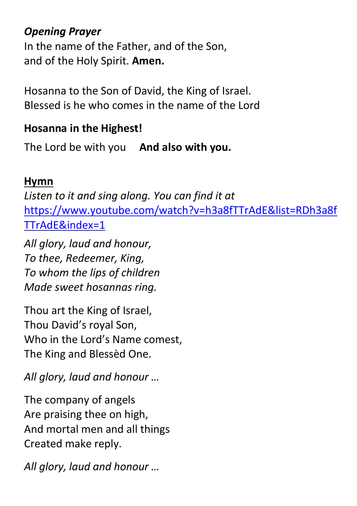### *Opening Prayer*

In the name of the Father, and of the Son, and of the Holy Spirit. **Amen.**

Hosanna to the Son of David, the King of Israel. Blessed is he who comes in the name of the Lord

## **Hosanna in the Highest!**

The Lord be with you **And also with you.**

## **Hymn**

*Listen to it and sing along. You can find it at* [https://www.youtube.com/watch?v=h3a8fTTrAdE&list=RDh3a8f](https://www.youtube.com/watch?v=h3a8fTTrAdE&list=RDh3a8fTTrAdE&index=1) [TTrAdE&index=1](https://www.youtube.com/watch?v=h3a8fTTrAdE&list=RDh3a8fTTrAdE&index=1)

*All glory, laud and honour, To thee, Redeemer, King, To whom the lips of children Made sweet hosannas ring.*

Thou art the King of Israel, Thou David's royal Son, Who in the Lord's Name comest, The King and Blessèd One.

*All glory, laud and honour …*

The company of angels Are praising thee on high, And mortal men and all things Created make reply.

*All glory, laud and honour …*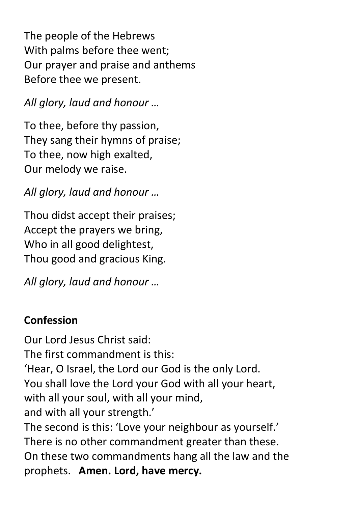The people of the Hebrews With palms before thee went; Our prayer and praise and anthems Before thee we present.

*All glory, laud and honour …*

To thee, before thy passion, They sang their hymns of praise; To thee, now high exalted, Our melody we raise.

*All glory, laud and honour …*

Thou didst accept their praises; Accept the prayers we bring, Who in all good delightest, Thou good and gracious King.

*All glory, laud and honour …*

## **Confession**

Our Lord Jesus Christ said: The first commandment is this: 'Hear, O Israel, the Lord our God is the only Lord. You shall love the Lord your God with all your heart, with all your soul, with all your mind, and with all your strength.' The second is this: 'Love your neighbour as yourself.' There is no other commandment greater than these. On these two commandments hang all the law and the prophets. **Amen. Lord, have mercy.**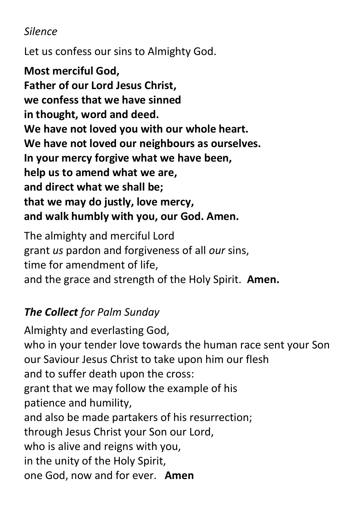## *Silence*

Let us confess our sins to Almighty God.

**Most merciful God, Father of our Lord Jesus Christ, we confess that we have sinned in thought, word and deed. We have not loved you with our whole heart. We have not loved our neighbours as ourselves. In your mercy forgive what we have been, help us to amend what we are, and direct what we shall be; that we may do justly, love mercy, and walk humbly with you, our God. Amen.**

The almighty and merciful Lord grant *us* pardon and forgiveness of all *our* sins, time for amendment of life, and the grace and strength of the Holy Spirit. **Amen.**

# *The Collect for Palm Sunday*

Almighty and everlasting God, who in your tender love towards the human race sent your Son our Saviour Jesus Christ to take upon him our flesh and to suffer death upon the cross: grant that we may follow the example of his patience and humility, and also be made partakers of his resurrection; through Jesus Christ your Son our Lord, who is alive and reigns with you, in the unity of the Holy Spirit, one God, now and for ever. **Amen**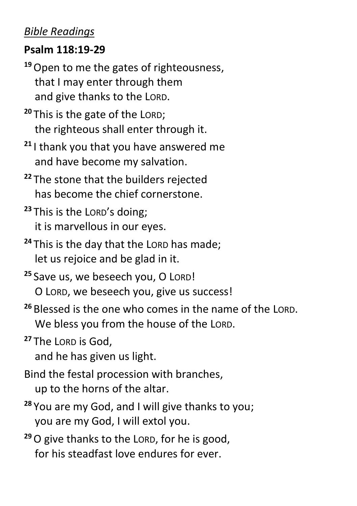#### *Bible Readings*

#### **Psalm 118:19-29**

**<sup>19</sup>**Open to me the gates of righteousness, that I may enter through them and give thanks to the LORD.

**<sup>20</sup>** This is the gate of the LORD; the righteous shall enter through it.

- **<sup>21</sup>** I thank you that you have answered me and have become my salvation.
- **<sup>22</sup>** The stone that the builders rejected has become the chief cornerstone.
- **<sup>23</sup>** This is the LORD's doing; it is marvellous in our eyes.
- **<sup>24</sup>** This is the day that the LORD has made; let us rejoice and be glad in it.
- **<sup>25</sup>** Save us, we beseech you, O LORD! O LORD, we beseech you, give us success!
- **<sup>26</sup>** Blessed is the one who comes in the name of the LORD. We bless you from the house of the LORD.

**<sup>27</sup>** The LORD is God,

and he has given us light.

Bind the festal procession with branches, up to the horns of the altar.

- **<sup>28</sup>** You are my God, and I will give thanks to you; you are my God, I will extol you.
- **<sup>29</sup>**O give thanks to the LORD, for he is good, for his steadfast love endures for ever.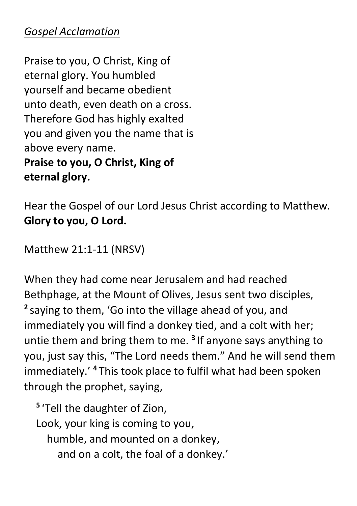### *Gospel Acclamation*

Praise to you, O Christ, King of eternal glory. You humbled yourself and became obedient unto death, even death on a cross. Therefore God has highly exalted you and given you the name that is above every name.

**Praise to you, O Christ, King of eternal glory.** 

Hear the Gospel of our Lord Jesus Christ according to Matthew. **Glory to you, O Lord.**

Matthew 21:1-11 (NRSV)

When they had come near Jerusalem and had reached Bethphage, at the Mount of Olives, Jesus sent two disciples, **2** saying to them, 'Go into the village ahead of you, and immediately you will find a donkey tied, and a colt with her; untie them and bring them to me. **<sup>3</sup>** If anyone says anything to you, just say this, "The Lord needs them." And he will send them immediately.' **<sup>4</sup>** This took place to fulfil what had been spoken through the prophet, saying,

**5** 'Tell the daughter of Zion, Look, your king is coming to you, humble, and mounted on a donkey, and on a colt, the foal of a donkey.'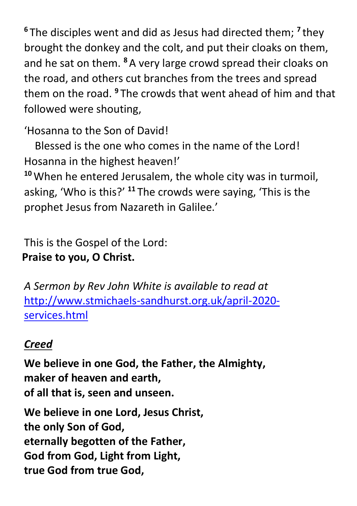**<sup>6</sup>** The disciples went and did as Jesus had directed them; **<sup>7</sup>** they brought the donkey and the colt, and put their cloaks on them, and he sat on them. **<sup>8</sup>**A very large crowd spread their cloaks on the road, and others cut branches from the trees and spread them on the road. **<sup>9</sup>** The crowds that went ahead of him and that followed were shouting,

'Hosanna to the Son of David!

 Blessed is the one who comes in the name of the Lord! Hosanna in the highest heaven!'

**<sup>10</sup>**When he entered Jerusalem, the whole city was in turmoil, asking, 'Who is this?' **<sup>11</sup>** The crowds were saying, 'This is the prophet Jesus from Nazareth in Galilee.'

This is the Gospel of the Lord: **Praise to you, O Christ.**

*A Sermon by Rev John White is available to read at*  [http://www.stmichaels-sandhurst.org.uk/april-2020](http://www.stmichaels-sandhurst.org.uk/april-2020-services.html) [services.html](http://www.stmichaels-sandhurst.org.uk/april-2020-services.html)

## *Creed*

**We believe in one God, the Father, the Almighty, maker of heaven and earth, of all that is, seen and unseen.**

**We believe in one Lord, Jesus Christ, the only Son of God, eternally begotten of the Father, God from God, Light from Light, true God from true God,**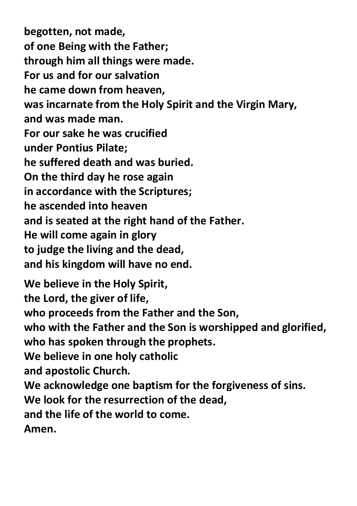**begotten, not made, of one Being with the Father; through him all things were made. For us and for our salvation he came down from heaven, was incarnate from the Holy Spirit and the Virgin Mary, and was made man. For our sake he was crucified under Pontius Pilate; he suffered death and was buried. On the third day he rose again in accordance with the Scriptures; he ascended into heaven and is seated at the right hand of the Father. He will come again in glory to judge the living and the dead, and his kingdom will have no end. We believe in the Holy Spirit, the Lord, the giver of life, who proceeds from the Father and the Son, who with the Father and the Son is worshipped and glorified, who has spoken through the prophets. We believe in one holy catholic and apostolic Church. We acknowledge one baptism for the forgiveness of sins.**

**We look for the resurrection of the dead,**

**and the life of the world to come.** 

**Amen.**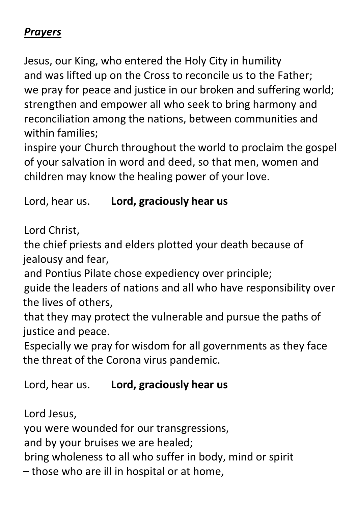#### *Prayers*

Jesus, our King, who entered the Holy City in humility and was lifted up on the Cross to reconcile us to the Father; we pray for peace and justice in our broken and suffering world; strengthen and empower all who seek to bring harmony and reconciliation among the nations, between communities and within families;

inspire your Church throughout the world to proclaim the gospel of your salvation in word and deed, so that men, women and children may know the healing power of your love.

#### Lord, hear us. **Lord, graciously hear us**

Lord Christ,

the chief priests and elders plotted your death because of jealousy and fear,

and Pontius Pilate chose expediency over principle;

guide the leaders of nations and all who have responsibility over the lives of others,

that they may protect the vulnerable and pursue the paths of justice and peace.

Especially we pray for wisdom for all governments as they face the threat of the Corona virus pandemic.

Lord, hear us. **Lord, graciously hear us**

Lord Jesus,

you were wounded for our transgressions,

and by your bruises we are healed;

bring wholeness to all who suffer in body, mind or spirit

– those who are ill in hospital or at home,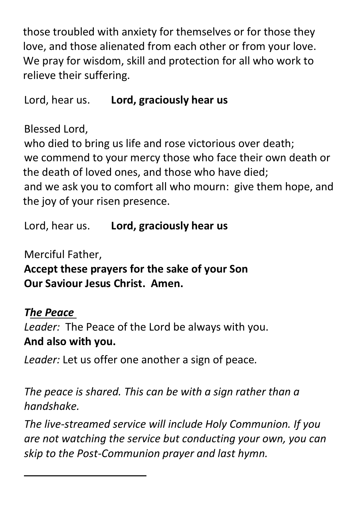those troubled with anxiety for themselves or for those they love, and those alienated from each other or from your love. We pray for wisdom, skill and protection for all who work to relieve their suffering.

Lord, hear us. **Lord, graciously hear us**

Blessed Lord,

who died to bring us life and rose victorious over death; we commend to your mercy those who face their own death or the death of loved ones, and those who have died; and we ask you to comfort all who mourn: give them hope, and the joy of your risen presence.

Lord, hear us. **Lord, graciously hear us**

Merciful Father,

**Accept these prayers for the sake of your Son Our Saviour Jesus Christ. Amen.**

## *The Peace*

*Leader:* The Peace of the Lord be always with you. **And also with you.**

*Leader:* Let us offer one another a sign of peace*.*

*The peace is shared. This can be with a sign rather than a handshake.*

*The live-streamed service will include Holy Communion. If you are not watching the service but conducting your own, you can skip to the Post-Communion prayer and last hymn.*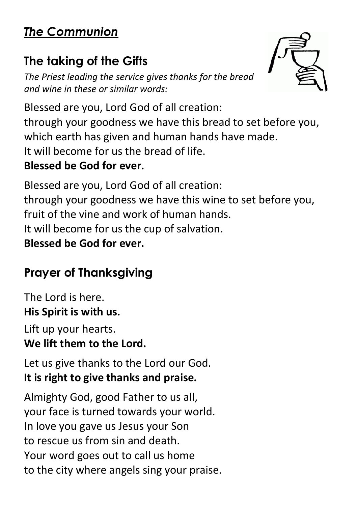# *The Communion*

# **The taking of the Gifts**

*The Priest leading the service gives thanks for the bread and wine in these or similar words:*



Blessed are you, Lord God of all creation: through your goodness we have this bread to set before you, which earth has given and human hands have made. It will become for us the bread of life. **Blessed be God for ever.**

Blessed are you, Lord God of all creation: through your goodness we have this wine to set before you, fruit of the vine and work of human hands. It will become for us the cup of salvation. **Blessed be God for ever.**

# **Prayer of Thanksgiving**

The Lord is here. **His Spirit is with us.**

Lift up your hearts. **We lift them to the Lord.**

Let us give thanks to the Lord our God. **It is right to give thanks and praise.**

Almighty God, good Father to us all, your face is turned towards your world. In love you gave us Jesus your Son to rescue us from sin and death. Your word goes out to call us home to the city where angels sing your praise.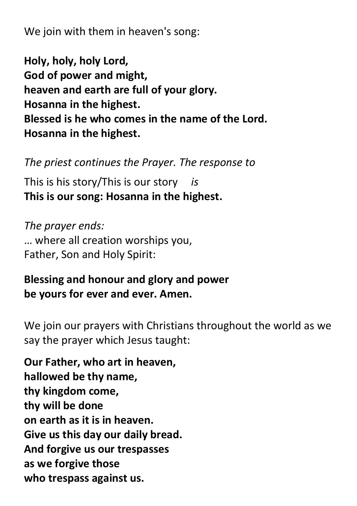We join with them in heaven's song:

**Holy, holy, holy Lord, God of power and might, heaven and earth are full of your glory. Hosanna in the highest. Blessed is he who comes in the name of the Lord. Hosanna in the highest.**

*The priest continues the Prayer. The response to*

This is his story/This is our story *is* **This is our song: Hosanna in the highest.**

*The prayer ends:* … where all creation worships you, Father, Son and Holy Spirit:

## **Blessing and honour and glory and power be yours for ever and ever. Amen.**

We join our prayers with Christians throughout the world as we say the prayer which Jesus taught:

**Our Father, who art in heaven, hallowed be thy name, thy kingdom come, thy will be done on earth as it is in heaven. Give us this day our daily bread. And forgive us our trespasses as we forgive those who trespass against us.**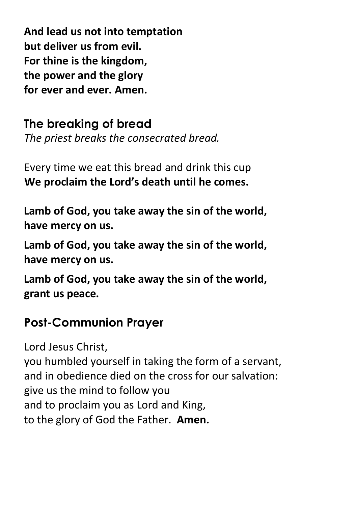**And lead us not into temptation but deliver us from evil. For thine is the kingdom, the power and the glory for ever and ever. Amen.**

**The breaking of bread**

*The priest breaks the consecrated bread.*

Every time we eat this bread and drink this cup **We proclaim the Lord's death until he comes.**

**Lamb of God, you take away the sin of the world, have mercy on us.**

**Lamb of God, you take away the sin of the world, have mercy on us.**

**Lamb of God, you take away the sin of the world, grant us peace.**

# **Post-Communion Prayer**

Lord Jesus Christ, you humbled yourself in taking the form of a servant, and in obedience died on the cross for our salvation: give us the mind to follow you and to proclaim you as Lord and King, to the glory of God the Father. **Amen.**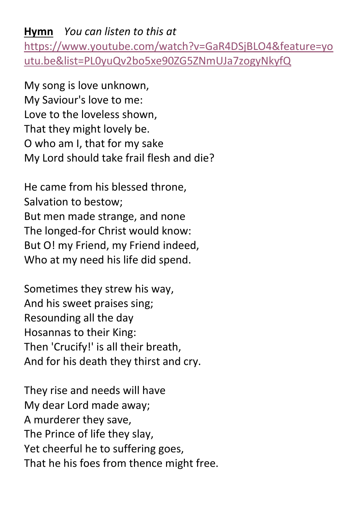#### **Hymn** *You can listen to this at*  [https://www.youtube.com/watch?v=GaR4DSjBLO4&feature=yo](https://www.youtube.com/watch?v=GaR4DSjBLO4&feature=youtu.be&list=PL0yuQv2bo5xe90ZG5ZNmUJa7zogyNkyfQ) [utu.be&list=PL0yuQv2bo5xe90ZG5ZNmUJa7zogyNkyfQ](https://www.youtube.com/watch?v=GaR4DSjBLO4&feature=youtu.be&list=PL0yuQv2bo5xe90ZG5ZNmUJa7zogyNkyfQ)

My song is love unknown, My Saviour's love to me: Love to the loveless shown, That they might lovely be. O who am I, that for my sake My Lord should take frail flesh and die?

He came from his blessed throne, Salvation to bestow; But men made strange, and none The longed-for Christ would know: But O! my Friend, my Friend indeed, Who at my need his life did spend.

Sometimes they strew his way, And his sweet praises sing; Resounding all the day Hosannas to their King: Then 'Crucify!' is all their breath, And for his death they thirst and cry.

They rise and needs will have My dear Lord made away; A murderer they save, The Prince of life they slay, Yet cheerful he to suffering goes, That he his foes from thence might free.